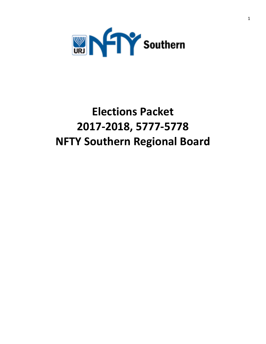

# **Elections Packet 2017-2018, 5777-5778 NFTY Southern Regional Board**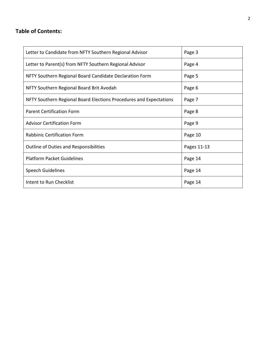### **Table of Contents:**

| Letter to Candidate from NFTY Southern Regional Advisor            | Page 3      |
|--------------------------------------------------------------------|-------------|
| Letter to Parent(s) from NFTY Southern Regional Advisor            | Page 4      |
| NFTY Southern Regional Board Candidate Declaration Form            | Page 5      |
| NFTY Southern Regional Board Brit Avodah                           | Page 6      |
| NFTY Southern Regional Board Elections Procedures and Expectations | Page 7      |
| <b>Parent Certification Form</b>                                   | Page 8      |
| <b>Advisor Certification Form</b>                                  | Page 9      |
| <b>Rabbinic Certification Form</b>                                 | Page 10     |
| <b>Outline of Duties and Responsibilities</b>                      | Pages 11-13 |
| <b>Platform Packet Guidelines</b>                                  | Page 14     |
| <b>Speech Guidelines</b>                                           | Page 14     |
| Intent to Run Checklist                                            | Page 14     |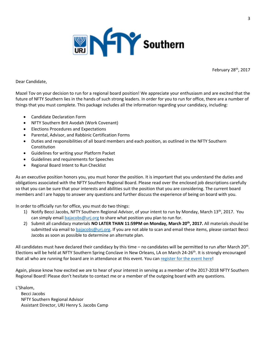

February 28<sup>th</sup>, 2017

Dear Candidate,

Mazel Tov on your decision to run for a regional board position! We appreciate your enthusiasm and are excited that the future of NFTY Southern lies in the hands of such strong leaders. In order for you to run for office, there are a number of things that you must complete. This package includes all the information regarding your candidacy, including:

- Candidate Declaration Form
- NFTY Southern Brit Avodah (Work Covenant)
- Elections Procedures and Expectations
- Parental, Advisor, and Rabbinic Certification Forms
- Duties and responsibilities of all board members and each position, as outlined in the NFTY Southern Constitution
- Guidelines for writing your Platform Packet
- Guidelines and requirements for Speeches
- Regional Board Intent to Run Checklist

As an executive position honors you, you must honor the position. It is important that you understand the duties and obligations associated with the NFTY Southern Regional Board. Please read over the enclosed job descriptions carefully so that you can be sure that your interests and abilities suit the position that you are considering. The current board members and I are happy to answer any questions and further discuss the experience of being on board with you.

In order to officially run for office, you must do two things:

- 1) Notify Becci Jacobs, NFTY Southern Regional Advisor, of your intent to run by Monday, March  $13<sup>th</sup>$ , 2017. You can simply emai[l bajacobs@urj.org](mailto:bajacobs@urj.org) to share what position you plan to run for.
- 2) Submit all candidacy materials **NO LATER THAN 11:59PM on Monday, March 20th, 2017.** All materials should be submitted via email t[o bajacobs@urj.org.](mailto:bajacobs@urj.org) If you are not able to scan and email these items, please contact Becci Jacobs as soon as possible to determine an alternate plan.

All candidates must have declared their candidacy by this time – no candidates will be permitted to run after March 20<sup>th</sup>. Elections will be held at NFTY Southern Spring Conclave in New Orleans, LA on March 24-26<sup>th</sup>. It is strongly encouraged that all who are running for board are in attendance at this event. You can [register for the event here!](https://southern.nfty.org/event/nfty-so-spring-conclave/?event_date=2017-03-24)

Again, please know how excited we are to hear of your interest in serving as a member of the 2017-2018 NFTY Southern Regional Board! Please don't hesitate to contact me or a member of the outgoing board with any questions.

L'Shalom, Becci Jacobs NFTY Southern Regional Advisor Assistant Director, URJ Henry S. Jacobs Camp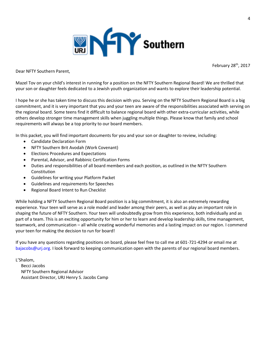

February 28<sup>th</sup>, 2017

Dear NFTY Southern Parent,

Mazel Tov on your child's interest in running for a position on the NFTY Southern Regional Board! We are thrilled that your son or daughter feels dedicated to a Jewish youth organization and wants to explore their leadership potential.

I hope he or she has taken time to discuss this decision with you. Serving on the NFTY Southern Regional Board is a big commitment, and it is very important that you and your teen are aware of the responsibilities associated with serving on the regional board. Some teens find it difficult to balance regional board with other extra-curricular activities, while others develop stronger time management skills when juggling multiple things. Please know that family and school requirements will always be a top priority to our board members.

In this packet, you will find important documents for you and your son or daughter to review, including:

- Candidate Declaration Form
- NFTY Southern Brit Avodah (Work Covenant)
- Elections Procedures and Expectations
- Parental, Advisor, and Rabbinic Certification Forms
- Duties and responsibilities of all board members and each position, as outlined in the NFTY Southern Constitution
- Guidelines for writing your Platform Packet
- Guidelines and requirements for Speeches
- Regional Board Intent to Run Checklist

While holding a NFTY Southern Regional Board position is a big commitment, it is also an extremely rewarding experience. Your teen will serve as a role model and leader among their peers, as well as play an important role in shaping the future of NFTY Southern. Your teen will undoubtedly grow from this experience, both individually and as part of a team. This is an exciting opportunity for him or her to learn and develop leadership skills, time management, teamwork, and communication – all while creating wonderful memories and a lasting impact on our region. I commend your teen for making the decision to run for board!

If you have any questions regarding positions on board, please feel free to call me at 601-721-4294 or email me at [bajacobs@urj.org.](mailto:bajacobs@urj.org) I look forward to keeping communication open with the parents of our regional board members.

L'Shalom,

 Becci Jacobs NFTY Southern Regional Advisor Assistant Director, URJ Henry S. Jacobs Camp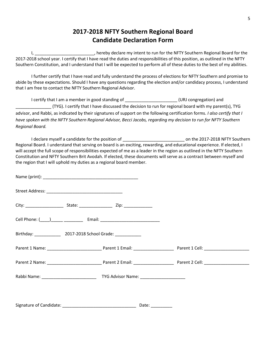# **2017-2018 NFTY Southern Regional Board Candidate Declaration Form**

I, Let a Long the moving the clare my intent to run for the NFTY Southern Regional Board for the 1 2017-2018 school year. I certify that I have read the duties and responsibilities of this position, as outlined in the NFTY Southern Constitution, and I understand that I will be expected to perform all of these duties to the best of my abilities.

I further certify that I have read and fully understand the process of elections for NFTY Southern and promise to abide by these expectations. Should I have any questions regarding the election and/or candidacy process, I understand that I am free to contact the NFTY Southern Regional Advisor.

I certify that I am a member in good standing of \_\_\_\_\_\_\_\_\_\_\_\_\_\_\_\_\_\_\_\_\_\_\_(URJ congregation) and \_\_\_\_\_\_\_\_\_\_\_\_\_\_\_ (TYG). I certify that I have discussed the decision to run for regional board with my parent(s), TYG advisor, and Rabbi, as indicated by their signatures of support on the following certification forms. *I also certify that I have spoken with the NFTY Southern Regional Advisor, Becci Jacobs, regarding my decision to run for NFTY Southern Regional Board.*

I declare myself a candidate for the position of \_\_\_\_\_\_\_\_\_\_\_\_\_\_\_\_\_\_\_\_\_\_\_\_\_\_ on the 2017-2018 NFTY Southern Regional Board. I understand that serving on board is an exciting, rewarding, and educational experience. If elected, I will accept the full scope of responsibilities expected of me as a leader in the region as outlined in the NFTY Southern Constitution and NFTY Southern Brit Avodah. If elected, these documents will serve as a contract between myself and the region that I will uphold my duties as a regional board member.

|  | Cell Phone: ( <u>____) _____</u> _____________ Email: ________________________________ |  |
|--|----------------------------------------------------------------------------------------|--|
|  |                                                                                        |  |
|  |                                                                                        |  |
|  |                                                                                        |  |
|  |                                                                                        |  |
|  |                                                                                        |  |
|  |                                                                                        |  |

Signature of Candidate: <br>
and the contract of Candidate:  $\Box$  and  $\Box$  Date:  $\Box$  Date: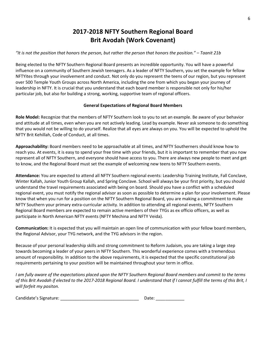# **2017-2018 NFTY Southern Regional Board Brit Avodah (Work Covenant)**

### *"It is not the position that honors the person, but rather the person that honors the position." – Taanit 21b*

Being elected to the NFTY Southern Regional Board presents an incredible opportunity. You will have a powerful influence on a community of Southern Jewish teenagers. As a leader of NFTY Southern, you set the example for fellow NFTYites through your involvement and conduct. Not only do you represent the teens of our region, but you represent over 500 Temple Youth Groups across North America, including the one from which you began your journey of leadership in NFTY. It is crucial that you understand that each board member is responsible not only for his/her particular job, but also for building a strong, working, supportive team of regional officers.

### **General Expectations of Regional Board Members**

**Role Model:** Recognize that the members of NFTY Southern look to you to set an example. Be aware of your behavior and attitude at all times, even when you are not actively leading. Lead by example. Never ask someone to do something that you would not be willing to do yourself. Realize that all eyes are always on you. You will be expected to uphold the NFTY Brit Kehillah, Code of Conduct, at all times.

**Approachability:** Board members need to be approachable at all times, and NFTY Southerners should know how to reach you. At events, it is easy to spend your free time with your friends, but it is important to remember that you now represent all of NFTY Southern, and everyone should have access to you. There are always new people to meet and get to know, and the Regional Board must set the example of welcoming new teens to NFTY Southern events.

**Attendance:** You are expected to attend all NFTY Southern regional events: Leadership Training Institute, Fall Conclave, Winter Kallah, Junior Youth Group Kallah, and Spring Conclave. School will always be your first priority, but you should understand the travel requirements associated with being on board. Should you have a conflict with a scheduled regional event, you must notify the regional advisor as soon as possible to determine a plan for your involvement. Please know that when you run for a position on the NFTY Southern Regional Board, you are making a commitment to make NFTY Southern your primary extra-curricular activity. In addition to attending all regional events, NFTY Southern Regional Board members are expected to remain active members of their TYGs as ex officio officers, as well as participate in North American NFTY events (NFTY Mechina and NFTY Veida).

**Communication:** It is expected that you will maintain an open line of communication with your fellow board members, the Regional Advisor, your TYG network, and the TYG advisors in the region.

Because of your personal leadership skills and strong commitment to Reform Judaism, you are taking a large step towards becoming a leader of your peers in NFTY Southern. This wonderful experience comes with a tremendous amount of responsibility. In addition to the above requirements, it is expected that the specific constitutional job requirements pertaining to your position will be maintained throughout your term in office.

*I am fully aware of the expectations placed upon the NFTY Southern Regional Board members and commit to the terms of this Brit Avodah if elected to the 2017-2018 Regional Board. I understand that if I cannot fulfill the terms of this Brit, I will forfeit my positon.* 

| Candidate's Signature: | Date: |
|------------------------|-------|
|------------------------|-------|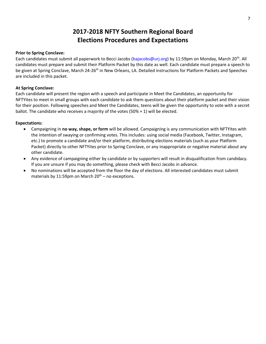# **2017-2018 NFTY Southern Regional Board Elections Procedures and Expectations**

### **Prior to Spring Conclave:**

Each candidates must submit all paperwork to Becci Jacobs [\(bajacobs@urj.org\)](mailto:bajacobs@urj.org) by 11:59pm on Monday, March 20<sup>th</sup>. All candidates must prepare and submit their Platform Packet by this date as well. Each candidate must prepare a speech to be given at Spring Conclave, March 24-26<sup>th</sup> in New Orleans, LA. Detailed instructions for Platform Packets and Speeches are included in this packet.

#### **At Spring Conclave:**

Each candidate will present the region with a speech and participate in Meet the Candidates, an opportunity for NFTYites to meet in small groups with each candidate to ask them questions about their platform packet and their vision for their position. Following speeches and Meet the Candidates, teens will be given the opportunity to vote with a secret ballot. The candidate who receives a majority of the votes (50% + 1) will be elected.

#### **Expectations:**

- Campaigning in **no way, shape, or form** will be allowed. Campaigning is any communication with NFTYites with the intention of swaying or confirming votes. This includes: using social media (Facebook, Twitter, Instagram, etc.) to promote a candidate and/or their platform, distributing elections materials (such as your Platform Packet) directly to other NFTYites prior to Spring Conclave, or any inappropriate or negative material about any other candidate.
- Any evidence of campaigning either by candidate or by supporters will result in disqualification from candidacy. If you are unsure if you may do something, please check with Becci Jacobs in advance.
- No nominations will be accepted from the floor the day of elections. All interested candidates must submit materials by 11:59pm on March  $20^{th}$  – no exceptions.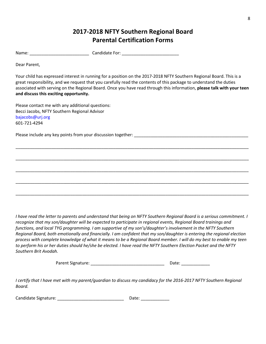# **2017-2018 NFTY Southern Regional Board Parental Certification Forms**

Name: The condidate For:  $\blacksquare$ 

Dear Parent,

Your child has expressed interest in running for a position on the 2017-2018 NFTY Southern Regional Board. This is a great responsibility, and we request that you carefully read the contents of this package to understand the duties associated with serving on the Regional Board. Once you have read through this information, **please talk with your teen and discuss this exciting opportunity.** 

\_\_\_\_\_\_\_\_\_\_\_\_\_\_\_\_\_\_\_\_\_\_\_\_\_\_\_\_\_\_\_\_\_\_\_\_\_\_\_\_\_\_\_\_\_\_\_\_\_\_\_\_\_\_\_\_\_\_\_\_\_\_\_\_\_\_\_\_\_\_\_\_\_\_\_\_\_\_\_\_\_\_\_\_\_\_\_\_\_\_\_\_\_\_\_\_\_\_

\_\_\_\_\_\_\_\_\_\_\_\_\_\_\_\_\_\_\_\_\_\_\_\_\_\_\_\_\_\_\_\_\_\_\_\_\_\_\_\_\_\_\_\_\_\_\_\_\_\_\_\_\_\_\_\_\_\_\_\_\_\_\_\_\_\_\_\_\_\_\_\_\_\_\_\_\_\_\_\_\_\_\_\_\_\_\_\_\_\_\_\_\_\_\_\_\_\_

\_\_\_\_\_\_\_\_\_\_\_\_\_\_\_\_\_\_\_\_\_\_\_\_\_\_\_\_\_\_\_\_\_\_\_\_\_\_\_\_\_\_\_\_\_\_\_\_\_\_\_\_\_\_\_\_\_\_\_\_\_\_\_\_\_\_\_\_\_\_\_\_\_\_\_\_\_\_\_\_\_\_\_\_\_\_\_\_\_\_\_\_\_\_\_\_\_\_

\_\_\_\_\_\_\_\_\_\_\_\_\_\_\_\_\_\_\_\_\_\_\_\_\_\_\_\_\_\_\_\_\_\_\_\_\_\_\_\_\_\_\_\_\_\_\_\_\_\_\_\_\_\_\_\_\_\_\_\_\_\_\_\_\_\_\_\_\_\_\_\_\_\_\_\_\_\_\_\_\_\_\_\_\_\_\_\_\_\_\_\_\_\_\_\_\_\_

\_\_\_\_\_\_\_\_\_\_\_\_\_\_\_\_\_\_\_\_\_\_\_\_\_\_\_\_\_\_\_\_\_\_\_\_\_\_\_\_\_\_\_\_\_\_\_\_\_\_\_\_\_\_\_\_\_\_\_\_\_\_\_\_\_\_\_\_\_\_\_\_\_\_\_\_\_\_\_\_\_\_\_\_\_\_\_\_\_\_\_\_\_\_\_\_\_\_

Please contact me with any additional questions: Becci Jacobs, NFTY Southern Regional Advisor [bajacobs@urj.org](mailto:bajacobs@urj.org)  601-721-4294

Please include any key points from your discussion together:  $\blacksquare$ 

*I have read the letter to parents and understand that being on NFTY Southern Regional Board is a serious commitment. I*  recognize that my son/daughter will be expected to participate in regional events, Regional Board trainings and *functions, and local TYG programming. I am supportive of my son's/daughter's involvement in the NFTY Southern Regional Board, both emotionally and financially. I am confident that my son/daughter is entering the regional election process with complete knowledge of what it means to be a Regional Board member. I will do my best to enable my teen to perform his or her duties should he/she be elected. I have read the NFTY Southern Election Packet and the NFTY Southern Brit Avodah.* 

Parent Signature: example and the parent Signature: the parent of  $\Box$ 

*I certify that I have met with my parent/guardian to discuss my candidacy for the 2016-2017 NFTY Southern Regional Board.* 

| Candidate Signature: | Date: |
|----------------------|-------|
|----------------------|-------|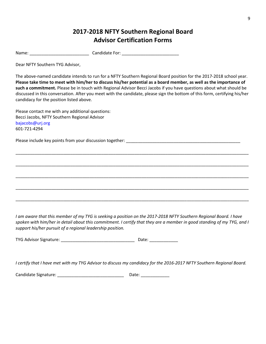# **2017-2018 NFTY Southern Regional Board Advisor Certification Forms**

Name: The Candidate For:  $\blacksquare$ 

Dear NFTY Southern TYG Advisor,

The above-named candidate intends to run for a NFTY Southern Regional Board position for the 2017-2018 school year. **Please take time to meet with him/her to discuss his/her potential as a board member, as well as the importance of such a commitment.** Please be in touch with Regional Advisor Becci Jacobs if you have questions about what should be discussed in this conversation. After you meet with the candidate, please sign the bottom of this form, certifying his/her candidacy for the position listed above.

\_\_\_\_\_\_\_\_\_\_\_\_\_\_\_\_\_\_\_\_\_\_\_\_\_\_\_\_\_\_\_\_\_\_\_\_\_\_\_\_\_\_\_\_\_\_\_\_\_\_\_\_\_\_\_\_\_\_\_\_\_\_\_\_\_\_\_\_\_\_\_\_\_\_\_\_\_\_\_\_\_\_\_\_\_\_\_\_\_\_\_\_\_\_\_\_\_\_

\_\_\_\_\_\_\_\_\_\_\_\_\_\_\_\_\_\_\_\_\_\_\_\_\_\_\_\_\_\_\_\_\_\_\_\_\_\_\_\_\_\_\_\_\_\_\_\_\_\_\_\_\_\_\_\_\_\_\_\_\_\_\_\_\_\_\_\_\_\_\_\_\_\_\_\_\_\_\_\_\_\_\_\_\_\_\_\_\_\_\_\_\_\_\_\_\_\_

\_\_\_\_\_\_\_\_\_\_\_\_\_\_\_\_\_\_\_\_\_\_\_\_\_\_\_\_\_\_\_\_\_\_\_\_\_\_\_\_\_\_\_\_\_\_\_\_\_\_\_\_\_\_\_\_\_\_\_\_\_\_\_\_\_\_\_\_\_\_\_\_\_\_\_\_\_\_\_\_\_\_\_\_\_\_\_\_\_\_\_\_\_\_\_\_\_\_

\_\_\_\_\_\_\_\_\_\_\_\_\_\_\_\_\_\_\_\_\_\_\_\_\_\_\_\_\_\_\_\_\_\_\_\_\_\_\_\_\_\_\_\_\_\_\_\_\_\_\_\_\_\_\_\_\_\_\_\_\_\_\_\_\_\_\_\_\_\_\_\_\_\_\_\_\_\_\_\_\_\_\_\_\_\_\_\_\_\_\_\_\_\_\_\_\_\_

\_\_\_\_\_\_\_\_\_\_\_\_\_\_\_\_\_\_\_\_\_\_\_\_\_\_\_\_\_\_\_\_\_\_\_\_\_\_\_\_\_\_\_\_\_\_\_\_\_\_\_\_\_\_\_\_\_\_\_\_\_\_\_\_\_\_\_\_\_\_\_\_\_\_\_\_\_\_\_\_\_\_\_\_\_\_\_\_\_\_\_\_\_\_\_\_\_\_

Please contact me with any additional questions: Becci Jacobs, NFTY Southern Regional Advisor [bajacobs@urj.org](mailto:bajacobs@urj.org)  601-721-4294

Please include key points from your discussion together: \_\_\_\_\_\_\_\_\_\_\_\_\_\_\_\_\_\_\_\_\_\_\_

*I am aware that this member of my TYG is seeking a position on the 2017-2018 NFTY Southern Regional Board. I have spoken with him/her in detail about this commitment. I certify that they are a member in good standing of my TYG, and I support his/her pursuit of a regional leadership position.* 

| TYG Advisor Signature: | Date: |  |
|------------------------|-------|--|
|------------------------|-------|--|

*I certify that I have met with my TYG Advisor to discuss my candidacy for the 2016-2017 NFTY Southern Regional Board.* 

Candidate Signature: \_\_\_\_\_\_\_\_\_\_\_\_\_\_\_\_\_\_\_\_\_\_\_\_\_\_\_\_ Date: \_\_\_\_\_\_\_\_\_\_\_\_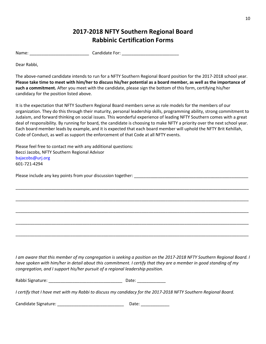# **2017-2018 NFTY Southern Regional Board Rabbinic Certification Forms**

Name: The candidate For:  $\blacksquare$ 

Dear Rabbi,

The above-named candidate intends to run for a NFTY Southern Regional Board position for the 2017-2018 school year. **Please take time to meet with him/her to discuss his/her potential as a board member, as well as the importance of such a commitment.** After you meet with the candidate, please sign the bottom of this form, certifying his/her candidacy for the position listed above.

It is the expectation that NFTY Southern Regional Board members serve as role models for the members of our organization. They do this through their maturity, personal leadership skills, programming ability, strong commitment to Judaism, and forward thinking on social issues. This wonderful experience of leading NFTY Southern comes with a great deal of responsibility. By running for board, the candidate is choosing to make NFTY a priority over the next school year. Each board member leads by example, and it is expected that each board member will uphold the NFTY Brit Kehillah, Code of Conduct, as well as support the enforcement of that Code at all NFTY events.

\_\_\_\_\_\_\_\_\_\_\_\_\_\_\_\_\_\_\_\_\_\_\_\_\_\_\_\_\_\_\_\_\_\_\_\_\_\_\_\_\_\_\_\_\_\_\_\_\_\_\_\_\_\_\_\_\_\_\_\_\_\_\_\_\_\_\_\_\_\_\_\_\_\_\_\_\_\_\_\_\_\_\_\_\_\_\_\_\_\_\_\_\_\_\_\_\_\_

\_\_\_\_\_\_\_\_\_\_\_\_\_\_\_\_\_\_\_\_\_\_\_\_\_\_\_\_\_\_\_\_\_\_\_\_\_\_\_\_\_\_\_\_\_\_\_\_\_\_\_\_\_\_\_\_\_\_\_\_\_\_\_\_\_\_\_\_\_\_\_\_\_\_\_\_\_\_\_\_\_\_\_\_\_\_\_\_\_\_\_\_\_\_\_\_\_\_

\_\_\_\_\_\_\_\_\_\_\_\_\_\_\_\_\_\_\_\_\_\_\_\_\_\_\_\_\_\_\_\_\_\_\_\_\_\_\_\_\_\_\_\_\_\_\_\_\_\_\_\_\_\_\_\_\_\_\_\_\_\_\_\_\_\_\_\_\_\_\_\_\_\_\_\_\_\_\_\_\_\_\_\_\_\_\_\_\_\_\_\_\_\_\_\_\_\_

\_\_\_\_\_\_\_\_\_\_\_\_\_\_\_\_\_\_\_\_\_\_\_\_\_\_\_\_\_\_\_\_\_\_\_\_\_\_\_\_\_\_\_\_\_\_\_\_\_\_\_\_\_\_\_\_\_\_\_\_\_\_\_\_\_\_\_\_\_\_\_\_\_\_\_\_\_\_\_\_\_\_\_\_\_\_\_\_\_\_\_\_\_\_\_\_\_\_

\_\_\_\_\_\_\_\_\_\_\_\_\_\_\_\_\_\_\_\_\_\_\_\_\_\_\_\_\_\_\_\_\_\_\_\_\_\_\_\_\_\_\_\_\_\_\_\_\_\_\_\_\_\_\_\_\_\_\_\_\_\_\_\_\_\_\_\_\_\_\_\_\_\_\_\_\_\_\_\_\_\_\_\_\_\_\_\_\_\_\_\_\_\_\_\_\_\_

Please feel free to contact me with any additional questions: Becci Jacobs, NFTY Southern Regional Advisor [bajacobs@urj.org](mailto:bajacobs@urj.org)  601-721-4294

Please include any key points from your discussion together: \_\_\_\_\_\_\_\_\_\_\_\_\_\_\_\_\_\_\_\_\_\_\_\_\_\_\_\_\_\_\_\_\_\_\_\_\_\_\_\_\_\_\_\_\_\_\_\_

*I am aware that this member of my congregation is seeking a position on the 2017-2018 NFTY Southern Regional Board. I have spoken with him/her in detail about this commitment. I certify that they are a member in good standing of my congregation, and I support his/her pursuit of a regional leadership position.* 

Rabbi Signature: \_\_\_\_\_\_\_\_\_\_\_\_\_\_\_\_\_\_\_\_\_\_\_\_\_\_\_\_\_\_\_ Date: \_\_\_\_\_\_\_\_\_\_\_\_

*I certify that I have met with my Rabbi to discuss my candidacy for the 2017-2018 NFTY Southern Regional Board.* 

Candidate Signature: \_\_\_\_\_\_\_\_\_\_\_\_\_\_\_\_\_\_\_\_\_\_\_\_\_\_\_\_ Date: \_\_\_\_\_\_\_\_\_\_\_\_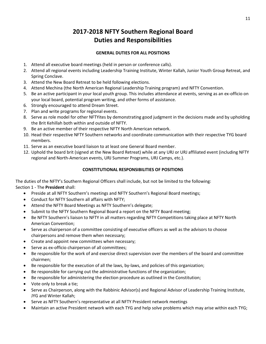# **2017-2018 NFTY Southern Regional Board Duties and Responsibilities**

### **GENERAL DUTIES FOR ALL POSITIONS**

- 1. Attend all executive board meetings (held in person or conference calls).
- 2. Attend all regional events including Leadership Training Institute, Winter Kallah, Junior Youth Group Retreat, and Spring Conclave.
- 3. Attend the New Board Retreat to be held following elections.
- 4. Attend Mechina (the North American Regional Leadership Training program) and NFTY Convention.
- 5. Be an active participant in your local youth group. This includes attendance at events, serving as an ex-officio on your local board, potential program writing, and other forms of assistance.
- 6. Strongly encouraged to attend Dream Street.
- 7. Plan and write programs for regional events.
- 8. Serve as role model for other NFTYites by demonstrating good judgment in the decisions made and by upholding the Brit Kehillah both within and outside of NFTY.
- 9. Be an active member of their respective NFTY North American network.
- 10. Head their respective NFTY Southern networks and coordinate communication with their respective TYG board members.
- 11. Serve as an executive board liaison to at least one General Board member.
- 12. Uphold the board brit (signed at the New Board Retreat) while at any URJ or URJ affiliated event (including NFTY regional and North-American events, URJ Summer Programs, URJ Camps, etc.).

### **CONSTITUTIONAL RESPONSIBILITIES OF POSITIONS**

The duties of the NFTY's Southern Regional Officers shall include, but not be limited to the following: Section 1 - The **President** shall:

- Preside at all NFTY Southern's meetings and NFTY Southern's Regional Board meetings;
- Conduct for NFTY Southern all affairs with NFTY;
- Attend the NFTY Board Meetings as NFTY Southern's delegate;
- Submit to the NFTY Southern Regional Board a report on the NFTY Board meeting;
- Be NFTY Southern's liaison to NFTY in all matters regarding NFTY Competitions taking place at NFTY North American Convention;
- Serve as chairperson of a committee consisting of executive officers as well as the advisors to choose chairpersons and remove them when necessary;
- Create and appoint new committees when necessary;
- Serve as ex-officio chairperson of all committees;
- Be responsible for the work of and exercise direct supervision over the members of the board and committee chairmen;
- Be responsible for the execution of all the laws, by-laws, and policies of this organization;
- Be responsible for carrying out the administrative functions of the organization;
- Be responsible for administering the election procedure as outlined in the Constitution;
- Vote only to break a tie;
- Serve as Chairperson, along with the Rabbinic Advisor(s) and Regional Advisor of Leadership Training Institute, JYG and Winter Kallah;
- Serve as NFTY Southern's representative at all NFTY President network meetings
- Maintain an active President network with each TYG and help solve problems which may arise within each TYG;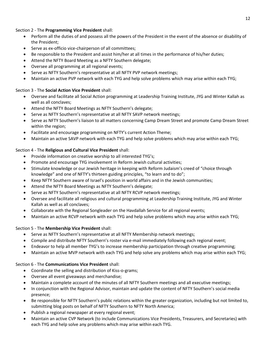### Section 2 - The **Programming Vice President** shall:

- Perform all the duties of and possess all the powers of the President in the event of the absence or disability of the President;
- Serve as ex-officio vice-chairperson of all committees;
- Be responsible to the President and assist him/her at all times in the performance of his/her duties;
- Attend the NFTY Board Meeting as a NFTY Southern delegate;
- Oversee all programming at all regional events;
- Serve as NFTY Southern's representative at all NFTY PVP network meetings;
- Maintain an active PVP network with each TYG and help solve problems which may arise within each TYG;

### Section 3 - The **Social Action Vice President** shall:

- Oversee and facilitate all Social Action programming at Leadership Training Institute, JYG and Winter Kallah as well as all conclaves;
- Attend the NFTY Board Meetings as NFTY Southern's delegate;
- Serve as NFTY Southern's representative at all NFTY SAVP network meetings;
- Serve as NFTY Southern's liaison to all matters concerning Camp Dream Street and promote Camp Dream Street within the region;
- Facilitate and encourage programming on NFTY's current Action Theme;
- Maintain an active SAVP network with each TYG and help solve problems which may arise within each TYG;

### Section 4 - The **Religious and Cultural Vice President** shall:

- Provide information on creative worship to all interested TYG's;
- Promote and encourage TYG involvement in Reform Jewish cultural activities;
- Stimulate knowledge or our Jewish heritage in keeping with Reform Judaism's creed of "choice through knowledge" and one of NFTY's thirteen guiding principles, "to learn and to do";
- Keep NFTY Southern aware of Israel's position in world affairs and in the Jewish communities;
- Attend the NFTY Board Meetings as NFTY Southern's delegate;
- Serve as NFTY Southern's representative at all NFTY RCVP network meetings;
- Oversee and facilitate all religious and cultural programming at Leadership Training Institute, JYG and Winter Kallah as well as all conclaves;
- Collaborate with the Regional Songleader on the Havdallah Service for all regional events;
- Maintain an active RCVP network with each TYG and help solve problems which may arise within each TYG;

### Section 5 - The **Membership Vice President** shall:

- Serve as NFTY Southern's representative at all NFTY Membership network meetings;
- Compile and distribute NFTY Southern's roster via e-mail immediately following each regional event;
- Endeavor to help all member TYG's to increase membership participation through creative programming;
- Maintain an active MVP network with each TYG and help solve any problems which may arise within each TYG;

### Section 6 - The **Communications Vice President** shall:

- Coordinate the selling and distribution of Kiss-o-grams;
- Oversee all event giveaways and merchandise;
- Maintain a complete account of the minutes of all NFTY Southern meetings and all executive meetings;
- In conjunction with the Regional Advisor, maintain and update the content of NFTY Southern's social media presence;
- Be responsible for NFTY Southern's public relations within the greater organization, including but not limited to, submitting blog posts on behalf of NFTY Southern to NFTY North America;
- Publish a regional newspaper at every regional event;
- Maintain an active CVP Network (to include Communications Vice Presidents, Treasurers, and Secretaries) with each TYG and help solve any problems which may arise within each TYG.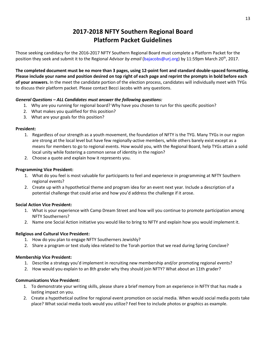# **2017-2018 NFTY Southern Regional Board Platform Packet Guidelines**

Those seeking candidacy for the 2016-2017 NFTY Southern Regional Board must complete a Platform Packet for the position they seek and submit it to the Regional Advisor *by email* [\(bajacobs@urj.org\)](mailto:bajacobs@urj.org) by 11:59pm March 20<sup>th</sup>, 2017.

**The completed document must be no more than 3 pages, using 12-point font and standard double-spaced formatting. Please include your name and position desired on top right of each page and reprint the prompts in bold before each of your answers.** In the meet the candidate portion of the election process, candidates will individually meet with TYGs to discuss their platform packet. Please contact Becci Jacobs with any questions.

### *General Questions – ALL Candidates must answer the following questions:*

- 1. Why are you running for regional board? Why have you chosen to run for this specific position?
- 2. What makes you qualified for this position?
- 3. What are your goals for this position?

#### **President:**

- 1. Regardless of our strength as a youth movement, the foundation of NFTY is the TYG. Many TYGs in our region are strong at the local level but have few regionally-active members, while others barely exist except as a means for members to go to regional events. How would you, with the Regional Board, help TYGs attain a solid local unity while fostering a common sense of identity in the region?
- 2. Choose a quote and explain how it represents you.

#### **Programming Vice President:**

- 1. What do you feel is most valuable for participants to feel and experience in programming at NFTY Southern regional events?
- 2. Create up with a hypothetical theme and program idea for an event next year. Include a description of a potential challenge that could arise and how you'd address the challenge if it arose.

#### **Social Action Vice President:**

- 1. What is your experience with Camp Dream Street and how will you continue to promote participation among NFTY Southerners?
- 2. Name one Social Action initiative you would like to bring to NFTY and explain how you would implement it.

#### **Religious and Cultural Vice President:**

- 1. How do you plan to engage NFTY Southerners Jewishly?
- 2. Share a program or text study idea related to the Torah portion that we read during Spring Conclave?

#### **Membership Vice President:**

- 1. Describe a strategy you'd implement in recruiting new membership and/or promoting regional events?
- 2. How would you explain to an 8th grader why they should join NFTY? What about an 11th grader?

#### **Communications Vice President:**

- 1. To demonstrate your writing skills, please share a brief memory from an experience in NFTY that has made a lasting impact on you.
- 2. Create a hypothetical outline for regional event promotion on social media. When would social media posts take place? What social media tools would you utilize? Feel free to include photos or graphics as example.